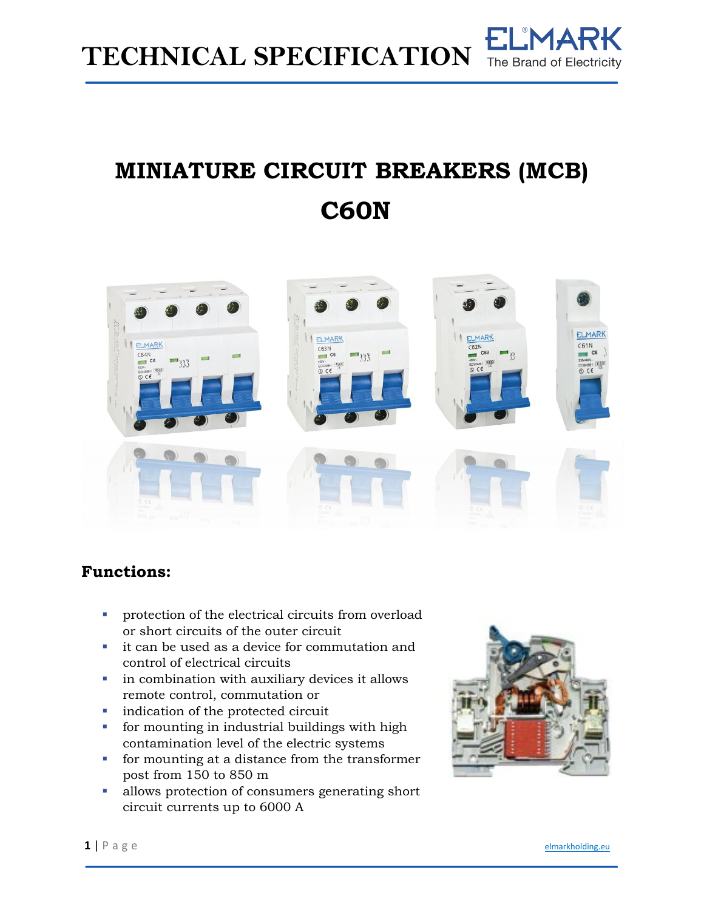

## **MINIATURE CIRCUIT BREAKERS (MCB) C60N**



## **Functions:**

- **•** protection of the electrical circuits from overload or short circuits of the outer circuit
- it can be used as a device for commutation and control of electrical circuits
- **•** in combination with auxiliary devices it allows remote control, commutation or
- indication of the protected circuit
- for mounting in industrial buildings with high contamination level of the electric systems
- for mounting at a distance from the transformer post from 150 to 850 m
- allows protection of consumers generating short circuit currents up to 6000 A

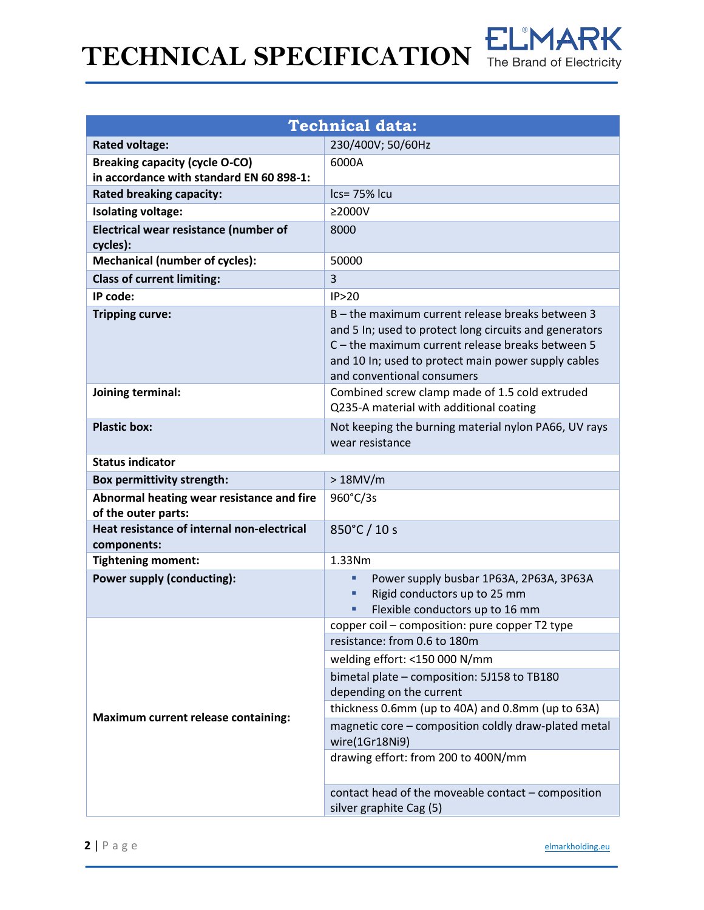# **TECHNICAL SPECIFICATION** The Brand of Electricity



| <b>Technical data:</b>                                           |                                                                                                                                                                                                                                                     |  |  |  |  |  |
|------------------------------------------------------------------|-----------------------------------------------------------------------------------------------------------------------------------------------------------------------------------------------------------------------------------------------------|--|--|--|--|--|
| <b>Rated voltage:</b>                                            | 230/400V; 50/60Hz                                                                                                                                                                                                                                   |  |  |  |  |  |
| <b>Breaking capacity (cycle O-CO)</b>                            | 6000A                                                                                                                                                                                                                                               |  |  |  |  |  |
| in accordance with standard EN 60 898-1:                         |                                                                                                                                                                                                                                                     |  |  |  |  |  |
| <b>Rated breaking capacity:</b>                                  | Ics= 75% Icu                                                                                                                                                                                                                                        |  |  |  |  |  |
| <b>Isolating voltage:</b>                                        | $\geq$ 2000V                                                                                                                                                                                                                                        |  |  |  |  |  |
| Electrical wear resistance (number of<br>cycles):                | 8000                                                                                                                                                                                                                                                |  |  |  |  |  |
| <b>Mechanical (number of cycles):</b>                            | 50000                                                                                                                                                                                                                                               |  |  |  |  |  |
| <b>Class of current limiting:</b>                                | 3                                                                                                                                                                                                                                                   |  |  |  |  |  |
| IP code:                                                         | IP>20                                                                                                                                                                                                                                               |  |  |  |  |  |
| <b>Tripping curve:</b>                                           | B - the maximum current release breaks between 3<br>and 5 In; used to protect long circuits and generators<br>C - the maximum current release breaks between 5<br>and 10 In; used to protect main power supply cables<br>and conventional consumers |  |  |  |  |  |
| Joining terminal:                                                | Combined screw clamp made of 1.5 cold extruded<br>Q235-A material with additional coating                                                                                                                                                           |  |  |  |  |  |
| <b>Plastic box:</b>                                              | Not keeping the burning material nylon PA66, UV rays<br>wear resistance                                                                                                                                                                             |  |  |  |  |  |
| <b>Status indicator</b>                                          |                                                                                                                                                                                                                                                     |  |  |  |  |  |
| <b>Box permittivity strength:</b>                                | >18MV/m                                                                                                                                                                                                                                             |  |  |  |  |  |
| Abnormal heating wear resistance and fire<br>of the outer parts: | 960°C/3s                                                                                                                                                                                                                                            |  |  |  |  |  |
| Heat resistance of internal non-electrical<br>components:        | 850°C / 10 s                                                                                                                                                                                                                                        |  |  |  |  |  |
| <b>Tightening moment:</b>                                        | 1.33Nm                                                                                                                                                                                                                                              |  |  |  |  |  |
| Power supply (conducting):                                       | Power supply busbar 1P63A, 2P63A, 3P63A<br>٠<br>Rigid conductors up to 25 mm<br>٠<br>Flexible conductors up to 16 mm<br>٠                                                                                                                           |  |  |  |  |  |
|                                                                  | copper coil - composition: pure copper T2 type<br>resistance: from 0.6 to 180m<br>welding effort: <150 000 N/mm                                                                                                                                     |  |  |  |  |  |
|                                                                  | bimetal plate - composition: 5J158 to TB180<br>depending on the current                                                                                                                                                                             |  |  |  |  |  |
| <b>Maximum current release containing:</b>                       | thickness 0.6mm (up to 40A) and 0.8mm (up to 63A)<br>magnetic core - composition coldly draw-plated metal<br>wire(1Gr18Ni9)                                                                                                                         |  |  |  |  |  |
|                                                                  | drawing effort: from 200 to 400N/mm                                                                                                                                                                                                                 |  |  |  |  |  |
|                                                                  | contact head of the moveable contact - composition<br>silver graphite Cag (5)                                                                                                                                                                       |  |  |  |  |  |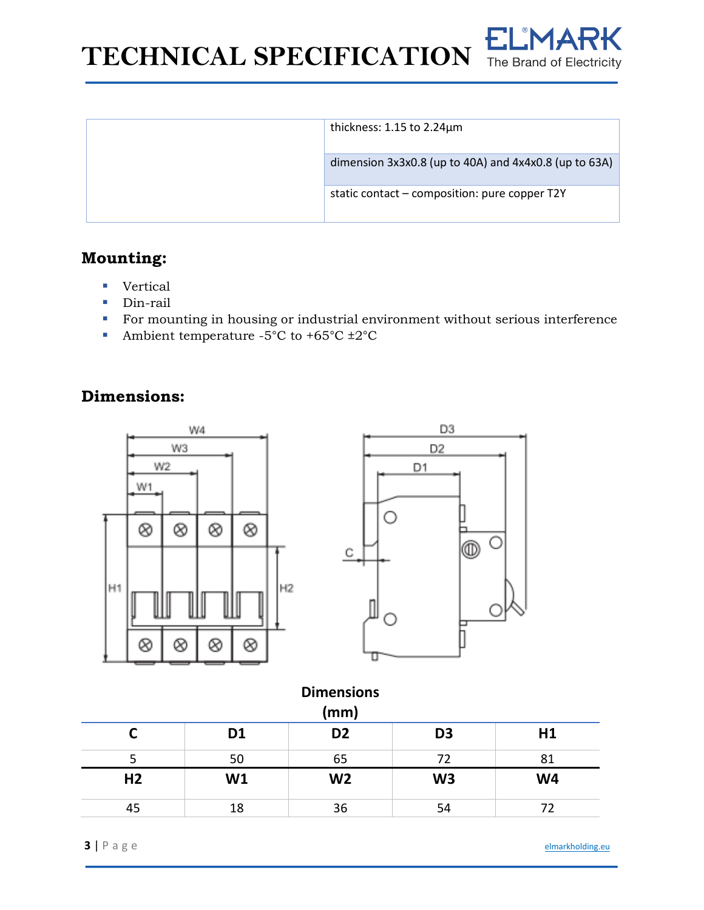**TECHNICAL SPECIFICATION** The Brand of Electricity



| thickness: $1.15$ to $2.24 \mu m$                     |
|-------------------------------------------------------|
| dimension 3x3x0.8 (up to 40A) and 4x4x0.8 (up to 63A) |
| static contact – composition: pure copper T2Y         |
|                                                       |

## **Mounting:**

- Vertical
- Din-rail
- For mounting in housing or industrial environment without serious interference
- Ambient temperature -5°C to +65°C  $\pm 2$ °C

## **Dimensions:**



| <b>Dimensions</b><br>(mm) |                |                |                |                |  |  |  |
|---------------------------|----------------|----------------|----------------|----------------|--|--|--|
|                           | D <sub>1</sub> | D <sub>2</sub> | D <sub>3</sub> | H1             |  |  |  |
|                           | 50             | 65             | 72             | 81             |  |  |  |
| H <sub>2</sub>            | W1             | W <sub>2</sub> | W <sub>3</sub> | W <sub>4</sub> |  |  |  |
| 45                        | 18             | 36             | 54             | 72             |  |  |  |

**3** | P a g e [elmarkholding.eu](http://elmarkholding.eu/)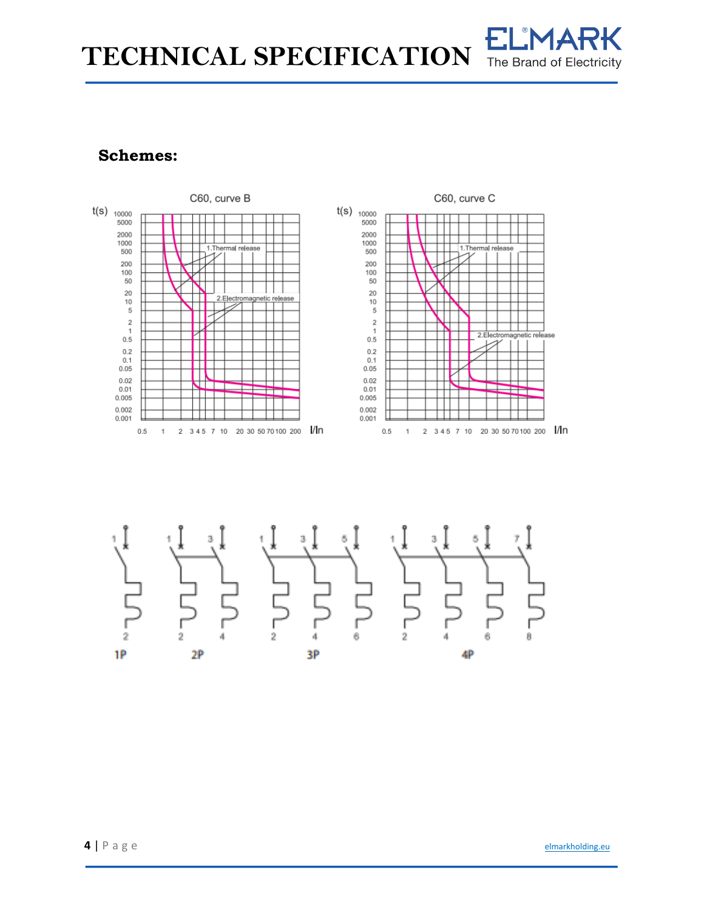TECHNICAL SPECIFICATION

## The Brand of Electricity

## **Schemes:**

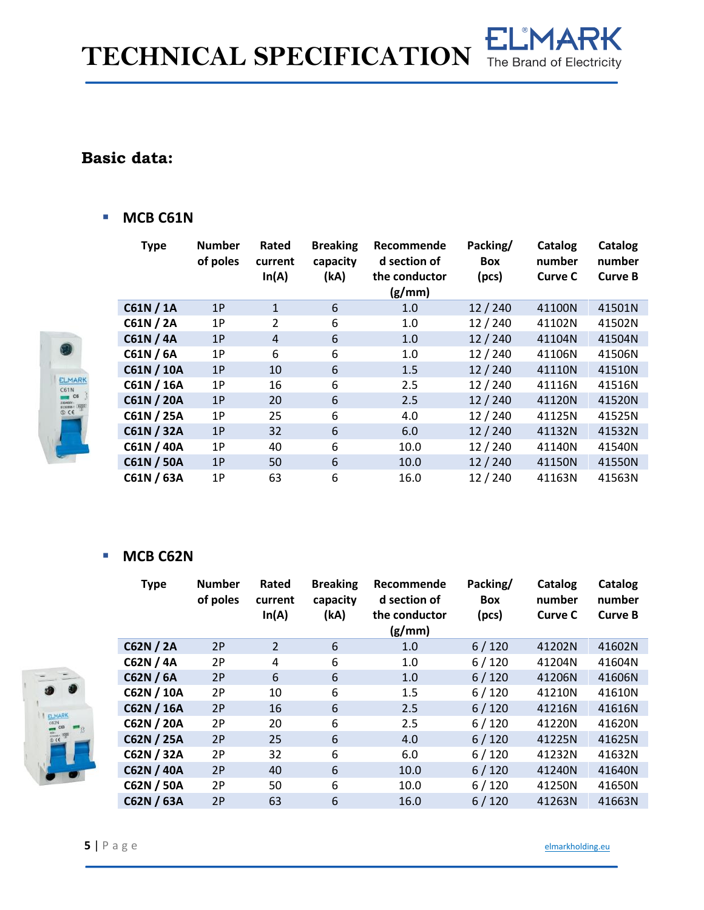**TECHNICAL SPECIFICATION**

## The Brand of Electricity

**ELMARK** 

## **Basic data:**

ELMARI  $C6$ 

### ■ **MCB C61N**



#### ■ **MCB C62N**

|  | <b>Type</b>       | <b>Number</b><br>of poles | Rated<br>current<br>In(A) | <b>Breaking</b><br>capacity<br>(kA) | Recommende<br>d section of<br>the conductor<br>(g/mm) | Packing/<br><b>Box</b><br>(pcs) | Catalog<br>number<br>Curve C | Catalog<br>number<br><b>Curve B</b> |
|--|-------------------|---------------------------|---------------------------|-------------------------------------|-------------------------------------------------------|---------------------------------|------------------------------|-------------------------------------|
|  | C62N / 2A         | 2P                        | $\overline{2}$            | 6                                   | 1.0                                                   | 6/120                           | 41202N                       | 41602N                              |
|  | C62N / 4A         | 2P                        | 4                         | 6                                   | 1.0                                                   | 6/120                           | 41204N                       | 41604N                              |
|  | C62N / 6A         | 2P                        | 6                         | 6                                   | 1.0                                                   | 6/120                           | 41206N                       | 41606N                              |
|  | C62N / 10A        | 2P                        | 10                        | 6                                   | 1.5                                                   | 6/120                           | 41210N                       | 41610N                              |
|  | C62N / 16A        | 2P                        | 16                        | 6                                   | 2.5                                                   | 6/120                           | 41216N                       | 41616N                              |
|  | C62N / 20A        | 2P                        | 20                        | 6                                   | 2.5                                                   | 6/120                           | 41220N                       | 41620N                              |
|  | C62N / 25A        | 2P                        | 25                        | 6                                   | 4.0                                                   | 6/120                           | 41225N                       | 41625N                              |
|  | C62N / 32A        | 2P                        | 32                        | 6                                   | 6.0                                                   | 6/120                           | 41232N                       | 41632N                              |
|  | <b>C62N / 40A</b> | 2P                        | 40                        | 6                                   | 10.0                                                  | 6/120                           | 41240N                       | 41640N                              |
|  | C62N / 50A        | 2P                        | 50                        | 6                                   | 10.0                                                  | 6/120                           | 41250N                       | 41650N                              |
|  | C62N / 63A        | 2P                        | 63                        | 6                                   | 16.0                                                  | 6/120                           | 41263N                       | 41663N                              |



**5** | P a g e [elmarkholding.eu](http://elmarkholding.eu/)